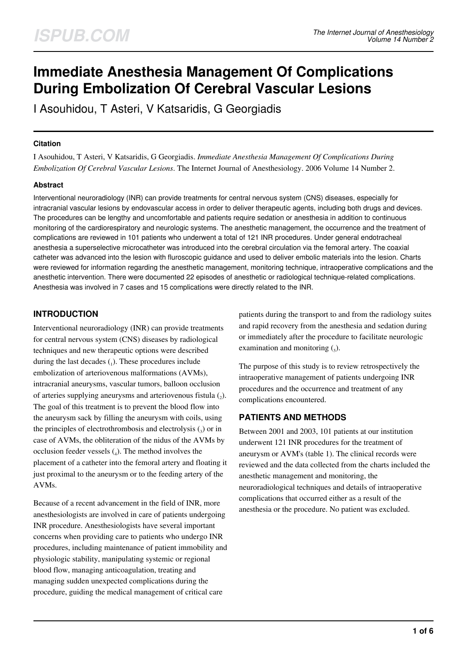# **Immediate Anesthesia Management Of Complications During Embolization Of Cerebral Vascular Lesions**

I Asouhidou, T Asteri, V Katsaridis, G Georgiadis

### **Citation**

I Asouhidou, T Asteri, V Katsaridis, G Georgiadis. *Immediate Anesthesia Management Of Complications During Embolization Of Cerebral Vascular Lesions*. The Internet Journal of Anesthesiology. 2006 Volume 14 Number 2.

## **Abstract**

Interventional neuroradiology (INR) can provide treatments for central nervous system (CNS) diseases, especially for intracranial vascular lesions by endovascular access in order to deliver therapeutic agents, including both drugs and devices. The procedures can be lengthy and uncomfortable and patients require sedation or anesthesia in addition to continuous monitoring of the cardiorespiratory and neurologic systems. The anesthetic management, the occurrence and the treatment of complications are reviewed in 101 patients who underwent a total of 121 INR procedures. Under general endotracheal anesthesia a superselective microcatheter was introduced into the cerebral circulation via the femoral artery. The coaxial catheter was advanced into the lesion with fluroscopic guidance and used to deliver embolic materials into the lesion. Charts were reviewed for information regarding the anesthetic management, monitoring technique, intraoperative complications and the anesthetic intervention. There were documented 22 episodes of anesthetic or radiological technique-related complications. Anesthesia was involved in 7 cases and 15 complications were directly related to the INR.

# **INTRODUCTION**

Interventional neuroradiology (INR) can provide treatments for central nervous system (CNS) diseases by radiological techniques and new therapeutic options were described during the last decades  $(_1)$ . These procedures include embolization of arteriovenous malformations (AVMs), intracranial aneurysms, vascular tumors, balloon occlusion of arteries supplying aneurysms and arteriovenous fistula  $(_{2})$ . The goal of this treatment is to prevent the blood flow into the aneurysm sack by filling the aneurysm with coils, using the principles of electrothrombosis and electrolysis  $\binom{3}{3}$  or in case of AVMs, the obliteration of the nidus of the AVMs by occlusion feeder vessels  $(_4)$ . The method involves the placement of a catheter into the femoral artery and floating it just proximal to the aneurysm or to the feeding artery of the AVMs.

Because of a recent advancement in the field of INR, more anesthesiologists are involved in care of patients undergoing INR procedure. Anesthesiologists have several important concerns when providing care to patients who undergo INR procedures, including maintenance of patient immobility and physiologic stability, manipulating systemic or regional blood flow, managing anticoagulation, treating and managing sudden unexpected complications during the procedure, guiding the medical management of critical care

patients during the transport to and from the radiology suites and rapid recovery from the anesthesia and sedation during or immediately after the procedure to facilitate neurologic examination and monitoring  $\binom{1}{5}$ .

The purpose of this study is to review retrospectively the intraoperative management of patients undergoing INR procedures and the occurrence and treatment of any complications encountered.

# **PATIENTS AND METHODS**

Between 2001 and 2003, 101 patients at our institution underwent 121 INR procedures for the treatment of aneurysm or AVM's (table 1). The clinical records were reviewed and the data collected from the charts included the anesthetic management and monitoring, the neuroradiological techniques and details of intraoperative complications that occurred either as a result of the anesthesia or the procedure. No patient was excluded.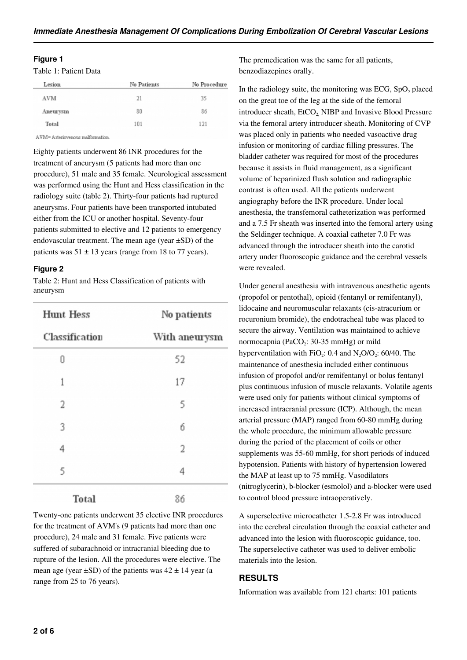#### **Figure 1**

Table 1: Patient Data

| Lesion   | No Patients | No Procedure |
|----------|-------------|--------------|
| AVM      | 21          | 35           |
| Aneurysm | 80          | 86           |
| Total    | 101         | 121          |
|          |             |              |

AVM= Arteriovenous malformation.

Eighty patients underwent 86 INR procedures for the treatment of aneurysm (5 patients had more than one procedure), 51 male and 35 female. Neurological assessment was performed using the Hunt and Hess classification in the radiology suite (table 2). Thirty-four patients had ruptured aneurysms. Four patients have been transported intubated either from the ICU or another hospital. Seventy-four patients submitted to elective and 12 patients to emergency endovascular treatment. The mean age (year ±SD) of the patients was  $51 \pm 13$  years (range from 18 to 77 years).

#### **Figure 2**

Table 2: Hunt and Hess Classification of patients with aneurysm

| <b>Hunt Hess</b> | No patients<br>With aneurysm |  |
|------------------|------------------------------|--|
| Classification   |                              |  |
| Ū                | 52                           |  |
| 1                | 17                           |  |
| 2                | 5                            |  |
| 3                | б                            |  |
| 4                | 2                            |  |
| 5                | 4                            |  |
| Total            | 86                           |  |

Twenty-one patients underwent 35 elective INR procedures for the treatment of AVM's (9 patients had more than one procedure), 24 male and 31 female. Five patients were suffered of subarachnoid or intracranial bleeding due to rupture of the lesion. All the procedures were elective. The mean age (year  $\pm$ SD) of the patients was  $42 \pm 14$  year (a range from 25 to 76 years).

The premedication was the same for all patients, benzodiazepines orally.

In the radiology suite, the monitoring was ECG,  $SpO<sub>2</sub>$  placed on the great toe of the leg at the side of the femoral introducer sheath, EtCO<sub>2</sub>, NIBP and Invasive Blood Pressure via the femoral artery introducer sheath. Monitoring of CVP was placed only in patients who needed vasoactive drug infusion or monitoring of cardiac filling pressures. The bladder catheter was required for most of the procedures because it assists in fluid management, as a significant volume of heparinized flush solution and radiographic contrast is often used. All the patients underwent angiography before the INR procedure. Under local anesthesia, the transfemoral catheterization was performed and a 7.5 Fr sheath was inserted into the femoral artery using the Seldinger technique. A coaxial catheter 7.0 Fr was advanced through the introducer sheath into the carotid artery under fluoroscopic guidance and the cerebral vessels were revealed.

Under general anesthesia with intravenous anesthetic agents (propofol or pentothal), opioid (fentanyl or remifentanyl), lidocaine and neuromuscular relaxants (cis-atracurium or rocuronium bromide), the endotracheal tube was placed to secure the airway. Ventilation was maintained to achieve normocapnia (PaCO<sub>2</sub>: 30-35 mmHg) or mild hyperventilation with  $FiO_2$ : 0.4 and  $N_2O/O_2$ : 60/40. The maintenance of anesthesia included either continuous infusion of propofol and/or remifentanyl or bolus fentanyl plus continuous infusion of muscle relaxants. Volatile agents were used only for patients without clinical symptoms of increased intracranial pressure (ICP). Although, the mean arterial pressure (MAP) ranged from 60-80 mmHg during the whole procedure, the minimum allowable pressure during the period of the placement of coils or other supplements was 55-60 mmHg, for short periods of induced hypotension. Patients with history of hypertension lowered the MAP at least up to 75 mmHg. Vasodilators (nitroglycerin), b-blocker (esmolol) and a-blocker were used to control blood pressure intraoperatively.

A superselective microcatheter 1.5-2.8 Fr was introduced into the cerebral circulation through the coaxial catheter and advanced into the lesion with fluoroscopic guidance, too. The superselective catheter was used to deliver embolic materials into the lesion.

## **RESULTS**

Information was available from 121 charts: 101 patients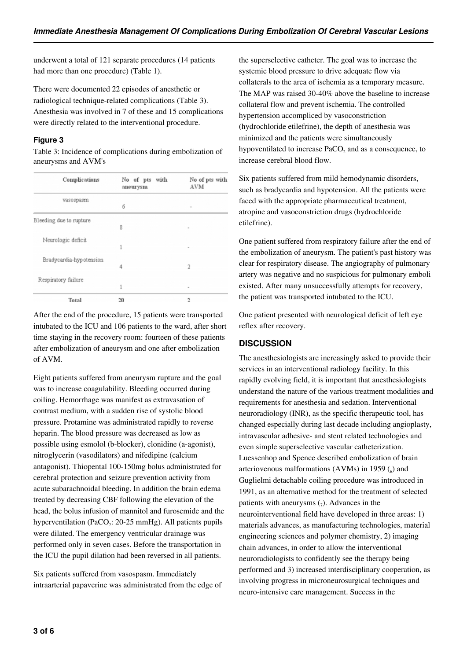underwent a total of 121 separate procedures (14 patients had more than one procedure) (Table 1).

There were documented 22 episodes of anesthetic or radiological technique-related complications (Table 3). Anesthesia was involved in 7 of these and 15 complications were directly related to the interventional procedure.

## **Figure 3**

Table 3: Incidence of complications during embolization of aneurysms and AVM's

| Complications           | No of pts with<br>aneurysm | No of pts with<br>AVM    |
|-------------------------|----------------------------|--------------------------|
| vasospasm               | б                          | $\sim$                   |
| Bleeding due to rupture |                            |                          |
| Neurologic deficit      | 8                          | $\overline{\phantom{a}}$ |
| Bradycardia-hypotension |                            |                          |
| Respiratory failure     | 4                          | 2                        |
|                         | 1                          | $\overline{\phantom{a}}$ |
| Total                   | 20                         | 2                        |

After the end of the procedure, 15 patients were transported intubated to the ICU and 106 patients to the ward, after short time staying in the recovery room: fourteen of these patients after embolization of aneurysm and one after embolization of AVM.

Eight patients suffered from aneurysm rupture and the goal was to increase coagulability. Bleeding occurred during coiling. Hemorrhage was manifest as extravasation of contrast medium, with a sudden rise of systolic blood pressure. Protamine was administrated rapidly to reverse heparin. The blood pressure was decreased as low as possible using esmolol (b-blocker), clonidine (a-agonist), nitroglycerin (vasodilators) and nifedipine (calcium antagonist). Thiopental 100-150mg bolus administrated for cerebral protection and seizure prevention activity from acute subarachnoidal bleeding. In addition the brain edema treated by decreasing CBF following the elevation of the head, the bolus infusion of mannitol and furosemide and the hyperventilation (PaCO<sub>2</sub>: 20-25 mmHg). All patients pupils were dilated. The emergency ventricular drainage was performed only in seven cases. Before the transportation in the ICU the pupil dilation had been reversed in all patients.

Six patients suffered from vasospasm. Immediately intraarterial papaverine was administrated from the edge of the superselective catheter. The goal was to increase the systemic blood pressure to drive adequate flow via collaterals to the area of ischemia as a temporary measure. The MAP was raised 30-40% above the baseline to increase collateral flow and prevent ischemia. The controlled hypertension accompliced by vasoconstriction (hydrochloride etilefrine), the depth of anesthesia was minimized and the patients were simultaneously hypoventilated to increase  $PaCO<sub>2</sub>$  and as a consequence, to increase cerebral blood flow.

Six patients suffered from mild hemodynamic disorders, such as bradycardia and hypotension. All the patients were faced with the appropriate pharmaceutical treatment, atropine and vasoconstriction drugs (hydrochloride etilefrine).

One patient suffered from respiratory failure after the end of the embolization of aneurysm. The patient's past history was clear for respiratory disease. The angiography of pulmonary artery was negative and no suspicious for pulmonary emboli existed. After many unsuccessfully attempts for recovery, the patient was transported intubated to the ICU.

One patient presented with neurological deficit of left eye reflex after recovery.

# **DISCUSSION**

The anesthesiologists are increasingly asked to provide their services in an interventional radiology facility. In this rapidly evolving field, it is important that anesthesiologists understand the nature of the various treatment modalities and requirements for anesthesia and sedation. Interventional neuroradiology (INR), as the specific therapeutic tool, has changed especially during last decade including angioplasty, intravascular adhesive- and stent related technologies and even simple superselective vascular catheterization. Luessenhop and Spence described embolization of brain arteriovenous malformations (AVMs) in 1959  $\binom{6}{0}$  and Guglielmi detachable coiling procedure was introduced in 1991, as an alternative method for the treatment of selected patients with aneurysms  $(7)$ . Advances in the neurointerventional field have developed in three areas: 1) materials advances, as manufacturing technologies, material engineering sciences and polymer chemistry, 2) imaging chain advances, in order to allow the interventional neuroradiologists to confidently see the therapy being performed and 3) increased interdisciplinary cooperation, as involving progress in microneurosurgical techniques and neuro-intensive care management. Success in the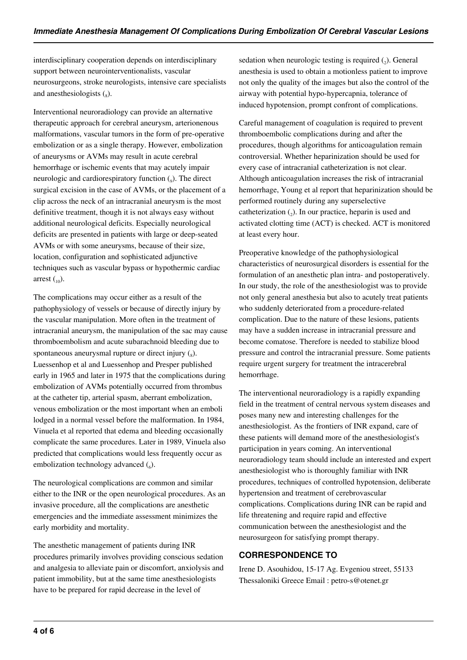interdisciplinary cooperation depends on interdisciplinary support between neurointerventionalists, vascular neurosurgeons, stroke neurologists, intensive care specialists and anesthesiologists  $\binom{8}{8}$ .

Interventional neuroradiology can provide an alternative therapeutic approach for cerebral aneurysm, arterionenous malformations, vascular tumors in the form of pre-operative embolization or as a single therapy. However, embolization of aneurysms or AVMs may result in acute cerebral hemorrhage or ischemic events that may acutely impair neurologic and cardiorespiratory function (<sub>9</sub>). The direct surgical excision in the case of AVMs, or the placement of a clip across the neck of an intracranial aneurysm is the most definitive treatment, though it is not always easy without additional neurological deficits. Especially neurological deficits are presented in patients with large or deep-seated AVMs or with some aneurysms, because of their size, location, configuration and sophisticated adjunctive techniques such as vascular bypass or hypothermic cardiac arrest  $\binom{10}{0}$ .

The complications may occur either as a result of the pathophysiology of vessels or because of directly injury by the vascular manipulation. More often in the treatment of intracranial aneurysm, the manipulation of the sac may cause thromboembolism and acute subarachnoid bleeding due to spontaneous aneurysmal rupture or direct injury  $\binom{8}{8}$ . Luessenhop et al and Luessenhop and Presper published early in 1965 and later in 1975 that the complications during embolization of AVMs potentially occurred from thrombus at the catheter tip, arterial spasm, aberrant embolization, venous embolization or the most important when an emboli lodged in a normal vessel before the malformation. In 1984, Vinuela et al reported that edema and bleeding occasionally complicate the same procedures. Later in 1989, Vinuela also predicted that complications would less frequently occur as embolization technology advanced  $(_6)$ .

The neurological complications are common and similar either to the INR or the open neurological procedures. As an invasive procedure, all the complications are anesthetic emergencies and the immediate assessment minimizes the early morbidity and mortality.

The anesthetic management of patients during INR procedures primarily involves providing conscious sedation and analgesia to alleviate pain or discomfort, anxiolysis and patient immobility, but at the same time anesthesiologists have to be prepared for rapid decrease in the level of

sedation when neurologic testing is required  $(_{2}$ ). General anesthesia is used to obtain a motionless patient to improve not only the quality of the images but also the control of the airway with potential hypo-hypercapnia, tolerance of induced hypotension, prompt confront of complications.

Careful management of coagulation is required to prevent thromboembolic complications during and after the procedures, though algorithms for anticoagulation remain controversial. Whether heparinization should be used for every case of intracranial catheterization is not clear. Although anticoagulation increases the risk of intracranial hemorrhage, Young et al report that heparinization should be performed routinely during any superselective catheterization  $(_{2})$ . In our practice, heparin is used and activated clotting time (ACT) is checked. ACT is monitored at least every hour.

Preoperative knowledge of the pathophysiological characteristics of neurosurgical disorders is essential for the formulation of an anesthetic plan intra- and postoperatively. In our study, the role of the anesthesiologist was to provide not only general anesthesia but also to acutely treat patients who suddenly deteriorated from a procedure-related complication. Due to the nature of these lesions, patients may have a sudden increase in intracranial pressure and become comatose. Therefore is needed to stabilize blood pressure and control the intracranial pressure. Some patients require urgent surgery for treatment the intracerebral hemorrhage.

The interventional neuroradiology is a rapidly expanding field in the treatment of central nervous system diseases and poses many new and interesting challenges for the anesthesiologist. As the frontiers of INR expand, care of these patients will demand more of the anesthesiologist's participation in years coming. An interventional neuroradiology team should include an interested and expert anesthesiologist who is thoroughly familiar with INR procedures, techniques of controlled hypotension, deliberate hypertension and treatment of cerebrovascular complications. Complications during INR can be rapid and life threatening and require rapid and effective communication between the anesthesiologist and the neurosurgeon for satisfying prompt therapy.

# **CORRESPONDENCE TO**

Irene D. Asouhidou, 15-17 Ag. Evgeniou street, 55133 Thessaloniki Greece Email : petro-s@otenet.gr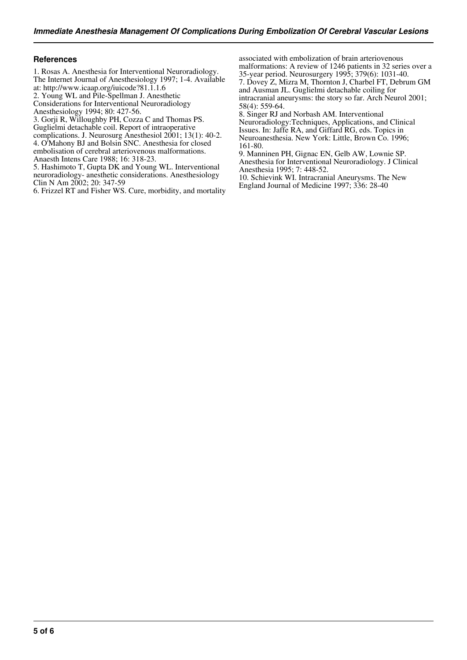#### **References**

- 1. Rosas A. Anesthesia for Interventional Neuroradiology.
- The Internet Journal of Anesthesiology 1997; 1-4. Available at: http://www.icaap.org/iuicode?81.1.1.6
- 2. Young WL and Pile-Spellman J. Anesthetic
- Considerations for Interventional Neuroradiology
- Anesthesiology 1994; 80: 427-56.
- 3. Gorji R, Willoughby PH, Cozza C and Thomas PS.
- Guglielmi detachable coil. Report of intraoperative
- complications. J. Neurosurg Anesthesiol 2001; 13(1): 40-2. 4. O'Mahony BJ and Bolsin SNC. Anesthesia for closed
- embolisation of cerebral arteriovenous malformations. Anaesth Intens Care 1988; 16: 318-23.
- 5. Hashimoto T, Gupta DK and Young WL. Interventional neuroradiology- anesthetic considerations. Anesthesiology Clin N Am 2002; 20: 347-59

6. Frizzel RT and Fisher WS. Cure, morbidity, and mortality

associated with embolization of brain arteriovenous malformations: A review of 1246 patients in 32 series over a 35-year period. Neurosurgery 1995; 379(6): 1031-40. 7. Dovey Z, Mizra M, Thornton J, Charbel FT, Debrum GM

and Ausman JL. Guglielmi detachable coiling for intracranial aneurysms: the story so far. Arch Neurol 2001; 58(4): 559-64.

8. Singer RJ and Norbash AM. Interventional Neuroradiology:Techniques, Applications, and Clinical Issues. In: Jaffe RA, and Giffard RG, eds. Topics in Neuroanesthesia. New York: Little, Brown Co. 1996; 161-80.

9. Manninen PH, Gignac EN, Gelb AW, Lownie SP. Anesthesia for Interventional Neuroradiology. J Clinical Anesthesia 1995; 7: 448-52.

10. Schievink WI. Intracranial Aneurysms. The New England Journal of Medicine 1997; 336: 28-40